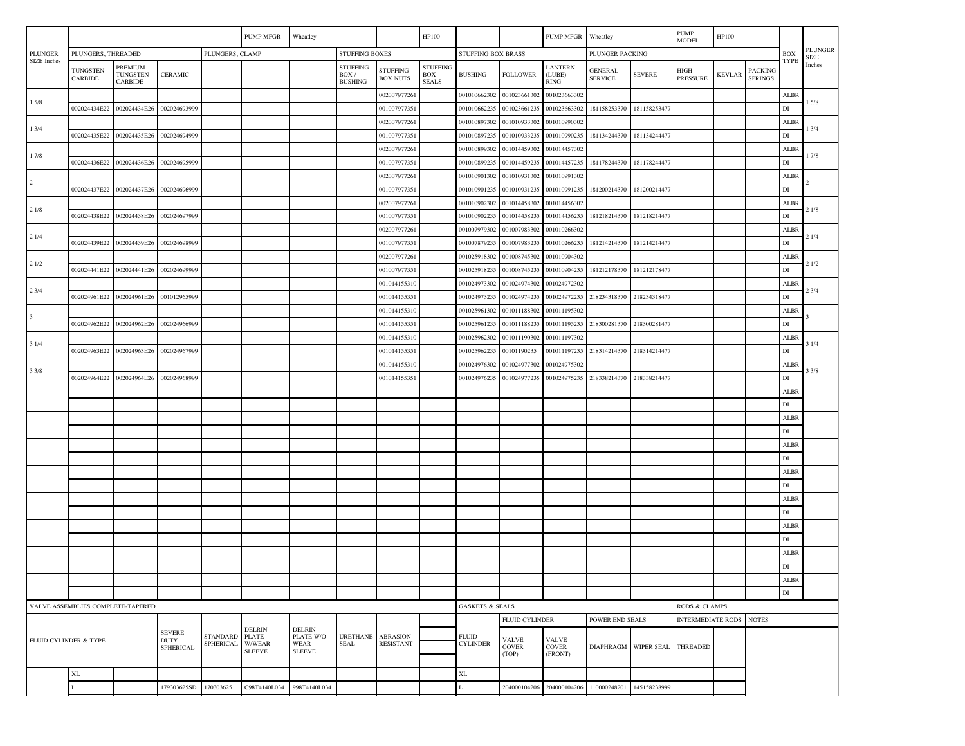| <b>PLUNGER</b><br>PLUNGERS, THREADED<br>PLUNGERS, CLAMP<br><b>STUFFING BOXES</b><br>STUFFING BOX BRASS<br>PLUNGER PACKING<br><b>PLUNGER</b><br>BOX<br><b>SIZE</b><br>SIZE Inches<br><b>TYPE</b><br>Inches<br>PREMIUM<br><b>STUFFING</b><br><b>STUFFING</b><br><b>LANTERN</b><br><b>TUNGSTEN</b><br><b>STUFFING</b><br><b>GENERAL</b><br>HIGH<br><b>PACKING</b><br><b>TUNGSTEN</b><br><b>CERAMIC</b><br>BOX<br><b>FOLLOWER</b><br><b>SEVERE</b><br>BOX/<br><b>BUSHING</b><br>(LUBE)<br>KEVLAR<br>CARBIDE<br><b>SPRINGS</b><br><b>BOX NUTS</b><br><b>SERVICE</b><br><b>PRESSURE</b><br><b>CARBIDE</b><br><b>BUSHING</b><br><b>SEALS</b><br><b>RING</b><br>001010662302<br>001023661302<br>001023663302<br>00200797726<br>ALBR<br>15/8<br>15/8<br>DI<br>002024434E22<br>002024434E26<br>002024693999<br>00100797735<br>001010662235<br>001023661235<br>001023663302<br>181158253370<br>181158253477<br>001010897302<br>001010933302<br>001010990302<br>ALBR<br>002007977261<br>13/4<br>13/4<br>001010990235<br>DI<br>002024435E22<br>002024435E26<br>002024694999<br>00100797735<br>00101089723:<br>001010933235<br>181134244370<br>181134244477<br>001014457302<br>002007977261<br>001010899302<br>001014459302<br>ALBR<br>17/8<br>17/8<br>002024436E22<br>002024436E26<br>002024695999<br>00101089923:<br>001014459235<br>001014457235<br>181178244370<br>181178244477<br>$_{\rm DI}$<br>001007977351<br>001010931302<br>00200797726<br>001010901302<br>001010991302<br>ALBR |
|-----------------------------------------------------------------------------------------------------------------------------------------------------------------------------------------------------------------------------------------------------------------------------------------------------------------------------------------------------------------------------------------------------------------------------------------------------------------------------------------------------------------------------------------------------------------------------------------------------------------------------------------------------------------------------------------------------------------------------------------------------------------------------------------------------------------------------------------------------------------------------------------------------------------------------------------------------------------------------------------------------------------------------------------------------------------------------------------------------------------------------------------------------------------------------------------------------------------------------------------------------------------------------------------------------------------------------------------------------------------------------------------------------------------------------------------------------------------------------|
|                                                                                                                                                                                                                                                                                                                                                                                                                                                                                                                                                                                                                                                                                                                                                                                                                                                                                                                                                                                                                                                                                                                                                                                                                                                                                                                                                                                                                                                                             |
|                                                                                                                                                                                                                                                                                                                                                                                                                                                                                                                                                                                                                                                                                                                                                                                                                                                                                                                                                                                                                                                                                                                                                                                                                                                                                                                                                                                                                                                                             |
|                                                                                                                                                                                                                                                                                                                                                                                                                                                                                                                                                                                                                                                                                                                                                                                                                                                                                                                                                                                                                                                                                                                                                                                                                                                                                                                                                                                                                                                                             |
|                                                                                                                                                                                                                                                                                                                                                                                                                                                                                                                                                                                                                                                                                                                                                                                                                                                                                                                                                                                                                                                                                                                                                                                                                                                                                                                                                                                                                                                                             |
|                                                                                                                                                                                                                                                                                                                                                                                                                                                                                                                                                                                                                                                                                                                                                                                                                                                                                                                                                                                                                                                                                                                                                                                                                                                                                                                                                                                                                                                                             |
|                                                                                                                                                                                                                                                                                                                                                                                                                                                                                                                                                                                                                                                                                                                                                                                                                                                                                                                                                                                                                                                                                                                                                                                                                                                                                                                                                                                                                                                                             |
|                                                                                                                                                                                                                                                                                                                                                                                                                                                                                                                                                                                                                                                                                                                                                                                                                                                                                                                                                                                                                                                                                                                                                                                                                                                                                                                                                                                                                                                                             |
|                                                                                                                                                                                                                                                                                                                                                                                                                                                                                                                                                                                                                                                                                                                                                                                                                                                                                                                                                                                                                                                                                                                                                                                                                                                                                                                                                                                                                                                                             |
|                                                                                                                                                                                                                                                                                                                                                                                                                                                                                                                                                                                                                                                                                                                                                                                                                                                                                                                                                                                                                                                                                                                                                                                                                                                                                                                                                                                                                                                                             |
| $\overline{2}$<br>002024437E22<br>002024437E26<br>001010901235<br>001010931235<br>001010991235<br>181200214370<br>181200214477<br>DI<br>002024696999<br>001007977351                                                                                                                                                                                                                                                                                                                                                                                                                                                                                                                                                                                                                                                                                                                                                                                                                                                                                                                                                                                                                                                                                                                                                                                                                                                                                                        |
| 001010902302<br>001014458302<br>001014456302<br>002007977261<br>ALBR                                                                                                                                                                                                                                                                                                                                                                                                                                                                                                                                                                                                                                                                                                                                                                                                                                                                                                                                                                                                                                                                                                                                                                                                                                                                                                                                                                                                        |
| 21/8<br>21/8<br>002024438E26<br>002024697999<br>181218214477<br>DI<br>002024438E22<br>001007977351<br>00101090223<br>001014458235<br>001014456235<br>181218214370                                                                                                                                                                                                                                                                                                                                                                                                                                                                                                                                                                                                                                                                                                                                                                                                                                                                                                                                                                                                                                                                                                                                                                                                                                                                                                           |
| 001007979302<br>001007983302<br>001010266302<br>002007977261<br>ALBR                                                                                                                                                                                                                                                                                                                                                                                                                                                                                                                                                                                                                                                                                                                                                                                                                                                                                                                                                                                                                                                                                                                                                                                                                                                                                                                                                                                                        |
| 21/4<br>21/4<br>002024439E22<br>002024439E26<br>DI<br>002024698999<br>001007977351<br>00100787923<br>001007983235<br>001010266235<br>181214214370<br>181214214477                                                                                                                                                                                                                                                                                                                                                                                                                                                                                                                                                                                                                                                                                                                                                                                                                                                                                                                                                                                                                                                                                                                                                                                                                                                                                                           |
| 001010904302<br>00200797726<br>00102591830<br>001008745302<br><b>ALBR</b>                                                                                                                                                                                                                                                                                                                                                                                                                                                                                                                                                                                                                                                                                                                                                                                                                                                                                                                                                                                                                                                                                                                                                                                                                                                                                                                                                                                                   |
| 21/2<br>21/2<br>DI<br>002024441E22<br>002024441E26<br>002024699999<br>00102591823:<br>001008745235<br>001010904235<br>181212178370<br>181212178477<br>00100797735                                                                                                                                                                                                                                                                                                                                                                                                                                                                                                                                                                                                                                                                                                                                                                                                                                                                                                                                                                                                                                                                                                                                                                                                                                                                                                           |
| 001024973302<br>001024974302<br>001024972302<br>001014155310<br>ALBR                                                                                                                                                                                                                                                                                                                                                                                                                                                                                                                                                                                                                                                                                                                                                                                                                                                                                                                                                                                                                                                                                                                                                                                                                                                                                                                                                                                                        |
| 23/4<br>23/4<br>218234318477<br>DI<br>002024961E22<br>002024961E26<br>001012965999<br>001014155351<br>00102497323:<br>001024974235<br>001024972235<br>218234318370                                                                                                                                                                                                                                                                                                                                                                                                                                                                                                                                                                                                                                                                                                                                                                                                                                                                                                                                                                                                                                                                                                                                                                                                                                                                                                          |
| 001025961302<br>001011188302<br>001011195302<br>001014155310<br>ALBR                                                                                                                                                                                                                                                                                                                                                                                                                                                                                                                                                                                                                                                                                                                                                                                                                                                                                                                                                                                                                                                                                                                                                                                                                                                                                                                                                                                                        |
| $\overline{\mathbf{3}}$<br>001025961235<br>218300281370<br>218300281477<br>DI<br>002024962E22<br>002024962E26<br>002024966999<br>001014155351<br>001011188235<br>001011195235                                                                                                                                                                                                                                                                                                                                                                                                                                                                                                                                                                                                                                                                                                                                                                                                                                                                                                                                                                                                                                                                                                                                                                                                                                                                                               |
| 001025962302<br>001011190302<br>001011197302<br>001014155310<br>ALBR                                                                                                                                                                                                                                                                                                                                                                                                                                                                                                                                                                                                                                                                                                                                                                                                                                                                                                                                                                                                                                                                                                                                                                                                                                                                                                                                                                                                        |
| 31/4<br>31/4<br>002024963E22<br>002024963E26<br>002024967999<br>001014155351<br>00102596223:<br>00101190235<br>001011197235<br>218314214370<br>218314214477<br>DI                                                                                                                                                                                                                                                                                                                                                                                                                                                                                                                                                                                                                                                                                                                                                                                                                                                                                                                                                                                                                                                                                                                                                                                                                                                                                                           |
| 001014155310<br>001024976302<br>001024977302<br>001024975302<br><b>ALBR</b>                                                                                                                                                                                                                                                                                                                                                                                                                                                                                                                                                                                                                                                                                                                                                                                                                                                                                                                                                                                                                                                                                                                                                                                                                                                                                                                                                                                                 |
| 33/8<br>3 3/8<br>002024964E22<br>002024964E26<br>001024976235<br>001024977235<br>001024975235<br>218338214370<br>218338214477<br>DI<br>002024968999<br>001014155351                                                                                                                                                                                                                                                                                                                                                                                                                                                                                                                                                                                                                                                                                                                                                                                                                                                                                                                                                                                                                                                                                                                                                                                                                                                                                                         |
| ALBR                                                                                                                                                                                                                                                                                                                                                                                                                                                                                                                                                                                                                                                                                                                                                                                                                                                                                                                                                                                                                                                                                                                                                                                                                                                                                                                                                                                                                                                                        |
| DI                                                                                                                                                                                                                                                                                                                                                                                                                                                                                                                                                                                                                                                                                                                                                                                                                                                                                                                                                                                                                                                                                                                                                                                                                                                                                                                                                                                                                                                                          |
| ALBR                                                                                                                                                                                                                                                                                                                                                                                                                                                                                                                                                                                                                                                                                                                                                                                                                                                                                                                                                                                                                                                                                                                                                                                                                                                                                                                                                                                                                                                                        |
| DI                                                                                                                                                                                                                                                                                                                                                                                                                                                                                                                                                                                                                                                                                                                                                                                                                                                                                                                                                                                                                                                                                                                                                                                                                                                                                                                                                                                                                                                                          |
| <b>ALBR</b>                                                                                                                                                                                                                                                                                                                                                                                                                                                                                                                                                                                                                                                                                                                                                                                                                                                                                                                                                                                                                                                                                                                                                                                                                                                                                                                                                                                                                                                                 |
| DI                                                                                                                                                                                                                                                                                                                                                                                                                                                                                                                                                                                                                                                                                                                                                                                                                                                                                                                                                                                                                                                                                                                                                                                                                                                                                                                                                                                                                                                                          |
| ALBR                                                                                                                                                                                                                                                                                                                                                                                                                                                                                                                                                                                                                                                                                                                                                                                                                                                                                                                                                                                                                                                                                                                                                                                                                                                                                                                                                                                                                                                                        |
| DI                                                                                                                                                                                                                                                                                                                                                                                                                                                                                                                                                                                                                                                                                                                                                                                                                                                                                                                                                                                                                                                                                                                                                                                                                                                                                                                                                                                                                                                                          |
| ALBR                                                                                                                                                                                                                                                                                                                                                                                                                                                                                                                                                                                                                                                                                                                                                                                                                                                                                                                                                                                                                                                                                                                                                                                                                                                                                                                                                                                                                                                                        |
| DI                                                                                                                                                                                                                                                                                                                                                                                                                                                                                                                                                                                                                                                                                                                                                                                                                                                                                                                                                                                                                                                                                                                                                                                                                                                                                                                                                                                                                                                                          |
| ALBR                                                                                                                                                                                                                                                                                                                                                                                                                                                                                                                                                                                                                                                                                                                                                                                                                                                                                                                                                                                                                                                                                                                                                                                                                                                                                                                                                                                                                                                                        |
| DI                                                                                                                                                                                                                                                                                                                                                                                                                                                                                                                                                                                                                                                                                                                                                                                                                                                                                                                                                                                                                                                                                                                                                                                                                                                                                                                                                                                                                                                                          |
| ALBR                                                                                                                                                                                                                                                                                                                                                                                                                                                                                                                                                                                                                                                                                                                                                                                                                                                                                                                                                                                                                                                                                                                                                                                                                                                                                                                                                                                                                                                                        |
| DI                                                                                                                                                                                                                                                                                                                                                                                                                                                                                                                                                                                                                                                                                                                                                                                                                                                                                                                                                                                                                                                                                                                                                                                                                                                                                                                                                                                                                                                                          |
| ALBR                                                                                                                                                                                                                                                                                                                                                                                                                                                                                                                                                                                                                                                                                                                                                                                                                                                                                                                                                                                                                                                                                                                                                                                                                                                                                                                                                                                                                                                                        |
| DI                                                                                                                                                                                                                                                                                                                                                                                                                                                                                                                                                                                                                                                                                                                                                                                                                                                                                                                                                                                                                                                                                                                                                                                                                                                                                                                                                                                                                                                                          |
| <b>GASKETS &amp; SEALS</b><br>VALVE ASSEMBLIES COMPLETE-TAPERED<br>RODS & CLAMPS                                                                                                                                                                                                                                                                                                                                                                                                                                                                                                                                                                                                                                                                                                                                                                                                                                                                                                                                                                                                                                                                                                                                                                                                                                                                                                                                                                                            |
| <b>FLUID CYLINDER</b><br>POWER END SEALS<br><b>INTERMEDIATE RODS NOTES</b>                                                                                                                                                                                                                                                                                                                                                                                                                                                                                                                                                                                                                                                                                                                                                                                                                                                                                                                                                                                                                                                                                                                                                                                                                                                                                                                                                                                                  |
| <b>DELRIN</b><br><b>DELRIN</b><br><b>SEVERE</b>                                                                                                                                                                                                                                                                                                                                                                                                                                                                                                                                                                                                                                                                                                                                                                                                                                                                                                                                                                                                                                                                                                                                                                                                                                                                                                                                                                                                                             |
| STANDARD<br>PLATE W/O<br><b>ABRASION</b><br><b>PLATE</b><br><b>URETHANE</b><br><b>FLUID</b><br><b>VALVE</b><br><b>VALVE</b><br>FLUID CYLINDER & TYPE<br><b>DUTY</b><br><b>RESISTANT</b><br>SPHERICAL<br>W/WEAR<br>WEAR<br><b>SEAL</b><br><b>CYLINDER</b><br>THREADED<br><b>COVER</b><br><b>COVER</b><br><b>DIAPHRAGM</b><br>WIPER SEAL<br>SPHERICAL<br><b>SLEEVE</b><br><b>SLEEVE</b><br>(TOP)<br>(FRONT)                                                                                                                                                                                                                                                                                                                                                                                                                                                                                                                                                                                                                                                                                                                                                                                                                                                                                                                                                                                                                                                                   |
|                                                                                                                                                                                                                                                                                                                                                                                                                                                                                                                                                                                                                                                                                                                                                                                                                                                                                                                                                                                                                                                                                                                                                                                                                                                                                                                                                                                                                                                                             |
| $\mathbf{XL}$<br>XL                                                                                                                                                                                                                                                                                                                                                                                                                                                                                                                                                                                                                                                                                                                                                                                                                                                                                                                                                                                                                                                                                                                                                                                                                                                                                                                                                                                                                                                         |
| 179303625SD<br>170303625<br>C98T4140L034<br>998T4140L034<br>204000104206<br>110000248201<br>145158238999<br>204000104206<br>L                                                                                                                                                                                                                                                                                                                                                                                                                                                                                                                                                                                                                                                                                                                                                                                                                                                                                                                                                                                                                                                                                                                                                                                                                                                                                                                                               |